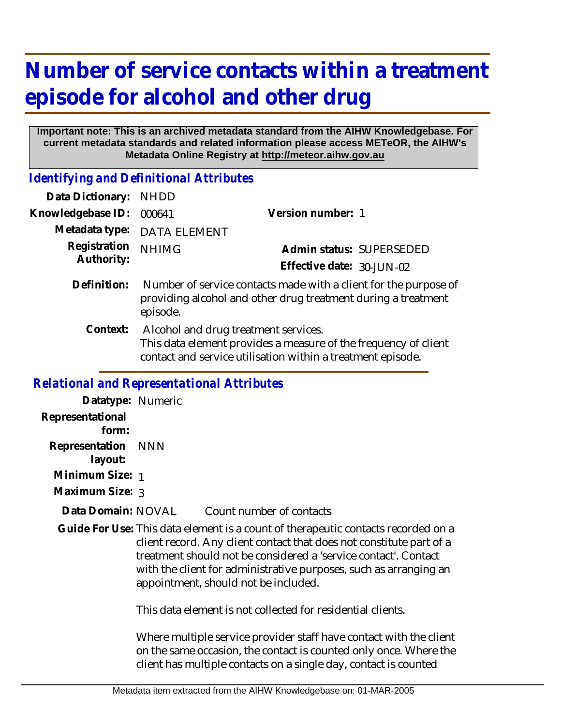## **Number of service contacts within a treatment episode for alcohol and other drug**

## **Important note: This is an archived metadata standard from the AIHW Knowledgebase. For current metadata standards and related information please access METeOR, the AIHW's Metadata Online Registry at http://meteor.aihw.gov.au**

*Identifying and Definitional Attributes*

| <b>NHDD</b>                                                                                                                                                            |                           |                          |
|------------------------------------------------------------------------------------------------------------------------------------------------------------------------|---------------------------|--------------------------|
| 000641                                                                                                                                                                 | Version number: 1         |                          |
| <b>DATA ELEMENT</b>                                                                                                                                                    |                           |                          |
| <b>NHIMG</b>                                                                                                                                                           |                           | Admin status: SUPERSEDED |
|                                                                                                                                                                        | Effective date: 30-JUN-02 |                          |
| Number of service contacts made with a client for the purpose of<br>providing alcohol and other drug treatment during a treatment<br>episode.                          |                           |                          |
| Alcohol and drug treatment services.<br>This data element provides a measure of the frequency of client<br>contact and service utilisation within a treatment episode. |                           |                          |
|                                                                                                                                                                        |                           |                          |

## *Relational and Representational Attributes*

| Datatype: Numeric         |                                                                                                                                                                                                                                                                                                                                           |                                                                                                                                         |
|---------------------------|-------------------------------------------------------------------------------------------------------------------------------------------------------------------------------------------------------------------------------------------------------------------------------------------------------------------------------------------|-----------------------------------------------------------------------------------------------------------------------------------------|
| Representational<br>form: |                                                                                                                                                                                                                                                                                                                                           |                                                                                                                                         |
| Representation<br>layout: | NNN                                                                                                                                                                                                                                                                                                                                       |                                                                                                                                         |
| Minimum Size: 1           |                                                                                                                                                                                                                                                                                                                                           |                                                                                                                                         |
| Maximum Size: 3           |                                                                                                                                                                                                                                                                                                                                           |                                                                                                                                         |
| Data Domain: NOVAL        |                                                                                                                                                                                                                                                                                                                                           | Count number of contacts                                                                                                                |
|                           | Guide For Use: This data element is a count of therapeutic contacts recorded on a<br>client record. Any client contact that does not constitute part of a<br>treatment should not be considered a 'service contact'. Contact<br>with the client for administrative purposes, such as arranging an<br>appointment, should not be included. |                                                                                                                                         |
|                           |                                                                                                                                                                                                                                                                                                                                           | This data element is not collected for residential clients.                                                                             |
|                           |                                                                                                                                                                                                                                                                                                                                           | Where multiple service provider staff have contact with the client<br>on the same occasion, the contact is counted only once. Where the |

client has multiple contacts on a single day, contact is counted